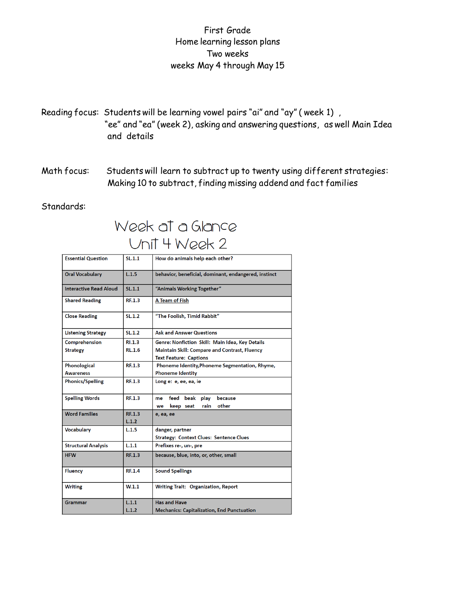## First Grade Home learning lesson plans Two weeks weeks May 4 through May 15

- Reading focus: Students will be learning vowel pairs "ai" and "ay" ( week 1) , "ee" and "ea" (week 2), asking and answering questions, as well Main Idea and details
- Math focus: Students will learn to subtract up to twenty using different strategies: Making 10 to subtract, finding missing addend and fact families

#### Standards:

# Week at a Glance Unit 4 Week 2

| <b>Essential Question</b>     | SL.1.1           | How do animals help each other?                      |
|-------------------------------|------------------|------------------------------------------------------|
| <b>Oral Vocabulary</b>        | L.1.5            | behavior, beneficial, dominant, endangered, instinct |
| <b>Interactive Read Aloud</b> | SL.1.1           | "Animals Working Together"                           |
| <b>Shared Reading</b>         | RF.1.3           | A Team of Fish                                       |
| <b>Close Reading</b>          | SL.1.2           | "The Foolish, Timid Rabbit"                          |
| <b>Listening Strategy</b>     | SL.1.2           | <b>Ask and Answer Questions</b>                      |
| Comprehension                 | RI.1.3           | Genre: Nonfiction Skill: Main Idea, Key Details      |
| <b>Strategy</b>               | <b>RL.1.6</b>    | Maintain Skill: Compare and Contrast, Fluency        |
|                               |                  | <b>Text Feature: Captions</b>                        |
| Phonological                  | <b>RF.1.3</b>    | Phoneme Identity, Phoneme Segmentation, Rhyme,       |
| <b>Awareness</b>              |                  | <b>Phoneme Identity</b>                              |
| <b>Phonics/Spelling</b>       | RE.1.3           | Long e: e, ee, ea, ie                                |
| <b>Spelling Words</b>         | RF.1.3           | feed beak<br>play<br>because<br>me                   |
|                               |                  | other<br>keep seat<br>rain<br>we                     |
| <b>Word Families</b>          | RF.1.3           | e, ea, ee                                            |
|                               | L.1.2            |                                                      |
| <b>Vocabulary</b>             | L.1.5            | danger, partner                                      |
|                               |                  | <b>Strategy: Context Clues: Sentence Clues</b>       |
| <b>Structural Analysis</b>    | L.1.1            | Prefixes re-, un-, pre                               |
| <b>HFW</b>                    | RE.1.3           | because, blue, into, or, other, small                |
| <b>Fluency</b>                | <b>RF.1.4</b>    | <b>Sound Spellings</b>                               |
| <b>Writing</b>                | W <sub>1.1</sub> | Writing Trait: Organization, Report                  |
| Grammar                       | L.1.1            | <b>Has and Have</b>                                  |
|                               | L.1.2            | <b>Mechanics: Capitalization, End Punctuation</b>    |